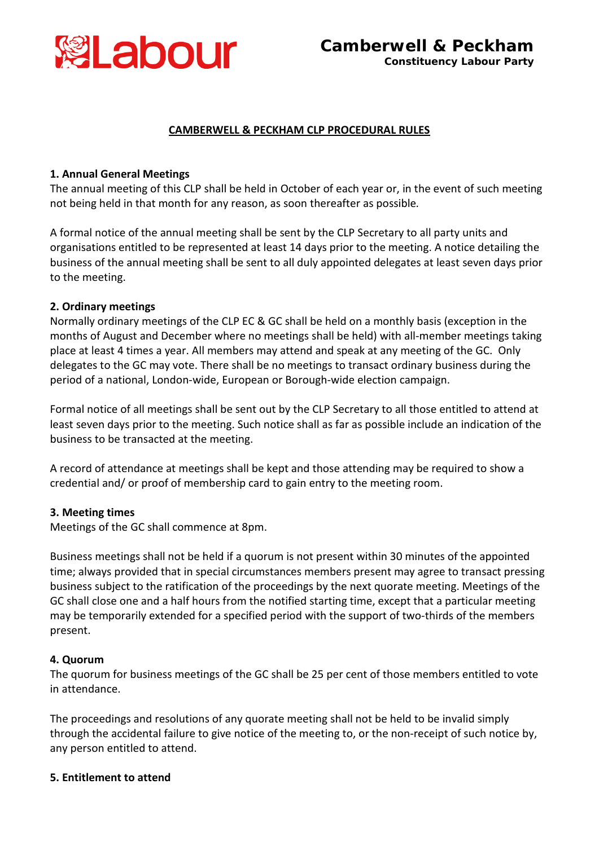

# **CAMBERWELL & PECKHAM CLP PROCEDURAL RULES**

# **1. Annual General Meetings**

The annual meeting of this CLP shall be held in October of each year or, in the event of such meeting not being held in that month for any reason, as soon thereafter as possible*.*

A formal notice of the annual meeting shall be sent by the CLP Secretary to all party units and organisations entitled to be represented at least 14 days prior to the meeting. A notice detailing the business of the annual meeting shall be sent to all duly appointed delegates at least seven days prior to the meeting.

# **2. Ordinary meetings**

Normally ordinary meetings of the CLP EC & GC shall be held on a monthly basis (exception in the months of August and December where no meetings shall be held) with all-member meetings taking place at least 4 times a year. All members may attend and speak at any meeting of the GC. Only delegates to the GC may vote. There shall be no meetings to transact ordinary business during the period of a national, London-wide, European or Borough-wide election campaign.

Formal notice of all meetings shall be sent out by the CLP Secretary to all those entitled to attend at least seven days prior to the meeting. Such notice shall as far as possible include an indication of the business to be transacted at the meeting.

A record of attendance at meetings shall be kept and those attending may be required to show a credential and/ or proof of membership card to gain entry to the meeting room.

# **3. Meeting times**

Meetings of the GC shall commence at 8pm.

Business meetings shall not be held if a quorum is not present within 30 minutes of the appointed time; always provided that in special circumstances members present may agree to transact pressing business subject to the ratification of the proceedings by the next quorate meeting. Meetings of the GC shall close one and a half hours from the notified starting time, except that a particular meeting may be temporarily extended for a specified period with the support of two-thirds of the members present.

# **4. Quorum**

The quorum for business meetings of the GC shall be 25 per cent of those members entitled to vote in attendance.

The proceedings and resolutions of any quorate meeting shall not be held to be invalid simply through the accidental failure to give notice of the meeting to, or the non-receipt of such notice by, any person entitled to attend.

# **5. Entitlement to attend**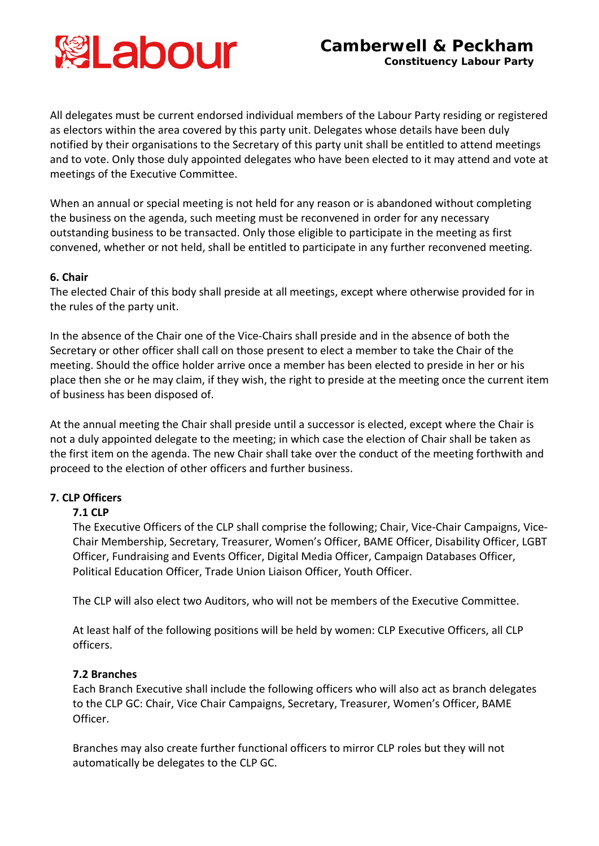

All delegates must be current endorsed individual members of the Labour Party residing or registered as electors within the area covered by this party unit. Delegates whose details have been duly notified by their organisations to the Secretary of this party unit shall be entitled to attend meetings and to vote. Only those duly appointed delegates who have been elected to it may attend and vote at meetings of the Executive Committee.

When an annual or special meeting is not held for any reason or is abandoned without completing the business on the agenda, such meeting must be reconvened in order for any necessary outstanding business to be transacted. Only those eligible to participate in the meeting as first convened, whether or not held, shall be entitled to participate in any further reconvened meeting.

### **6. Chair**

The elected Chair of this body shall preside at all meetings, except where otherwise provided for in the rules of the party unit.

In the absence of the Chair one of the Vice-Chairs shall preside and in the absence of both the Secretary or other officer shall call on those present to elect a member to take the Chair of the meeting. Should the office holder arrive once a member has been elected to preside in her or his place then she or he may claim, if they wish, the right to preside at the meeting once the current item of business has been disposed of.

At the annual meeting the Chair shall preside until a successor is elected, except where the Chair is not a duly appointed delegate to the meeting; in which case the election of Chair shall be taken as the first item on the agenda. The new Chair shall take over the conduct of the meeting forthwith and proceed to the election of other officers and further business.

# **7. CLP Officers**

### **7.1 CLP**

The Executive Officers of the CLP shall comprise the following; Chair, Vice-Chair Campaigns, Vice-Chair Membership, Secretary, Treasurer, Women's Officer, BAME Officer, Disability Officer, LGBT Officer, Fundraising and Events Officer, Digital Media Officer, Campaign Databases Officer, Political Education Officer, Trade Union Liaison Officer, Youth Officer.

The CLP will also elect two Auditors, who will not be members of the Executive Committee.

At least half of the following positions will be held by women: CLP Executive Officers, all CLP officers.

### **7.2 Branches**

Each Branch Executive shall include the following officers who will also act as branch delegates to the CLP GC: Chair, Vice Chair Campaigns, Secretary, Treasurer, Women's Officer, BAME Officer.

Branches may also create further functional officers to mirror CLP roles but they will not automatically be delegates to the CLP GC.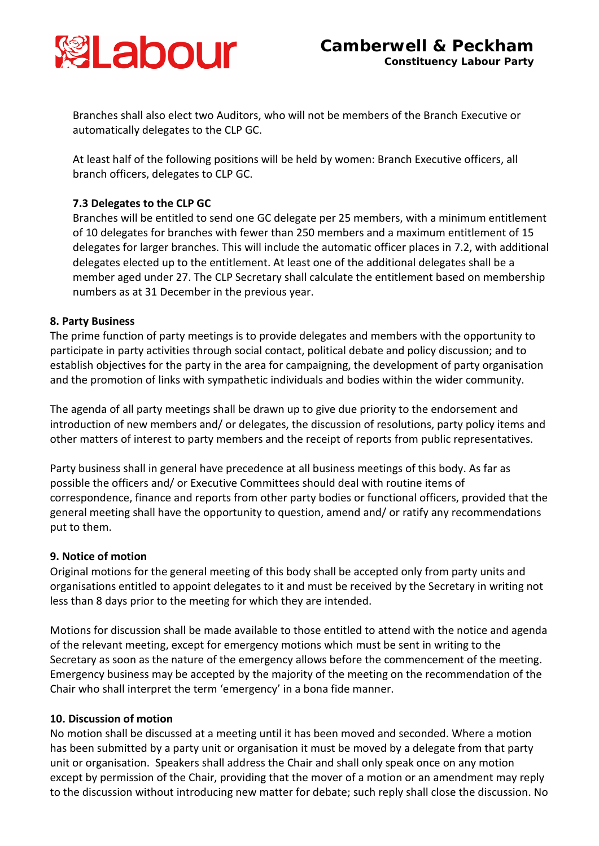

Branches shall also elect two Auditors, who will not be members of the Branch Executive or automatically delegates to the CLP GC.

At least half of the following positions will be held by women: Branch Executive officers, all branch officers, delegates to CLP GC.

# **7.3 Delegates to the CLP GC**

Branches will be entitled to send one GC delegate per 25 members, with a minimum entitlement of 10 delegates for branches with fewer than 250 members and a maximum entitlement of 15 delegates for larger branches. This will include the automatic officer places in 7.2, with additional delegates elected up to the entitlement. At least one of the additional delegates shall be a member aged under 27. The CLP Secretary shall calculate the entitlement based on membership numbers as at 31 December in the previous year.

### **8. Party Business**

The prime function of party meetings is to provide delegates and members with the opportunity to participate in party activities through social contact, political debate and policy discussion; and to establish objectives for the party in the area for campaigning, the development of party organisation and the promotion of links with sympathetic individuals and bodies within the wider community.

The agenda of all party meetings shall be drawn up to give due priority to the endorsement and introduction of new members and/ or delegates, the discussion of resolutions, party policy items and other matters of interest to party members and the receipt of reports from public representatives.

Party business shall in general have precedence at all business meetings of this body. As far as possible the officers and/ or Executive Committees should deal with routine items of correspondence, finance and reports from other party bodies or functional officers, provided that the general meeting shall have the opportunity to question, amend and/ or ratify any recommendations put to them.

### **9. Notice of motion**

Original motions for the general meeting of this body shall be accepted only from party units and organisations entitled to appoint delegates to it and must be received by the Secretary in writing not less than 8 days prior to the meeting for which they are intended.

Motions for discussion shall be made available to those entitled to attend with the notice and agenda of the relevant meeting, except for emergency motions which must be sent in writing to the Secretary as soon as the nature of the emergency allows before the commencement of the meeting. Emergency business may be accepted by the majority of the meeting on the recommendation of the Chair who shall interpret the term 'emergency' in a bona fide manner.

### **10. Discussion of motion**

No motion shall be discussed at a meeting until it has been moved and seconded. Where a motion has been submitted by a party unit or organisation it must be moved by a delegate from that party unit or organisation. Speakers shall address the Chair and shall only speak once on any motion except by permission of the Chair, providing that the mover of a motion or an amendment may reply to the discussion without introducing new matter for debate; such reply shall close the discussion. No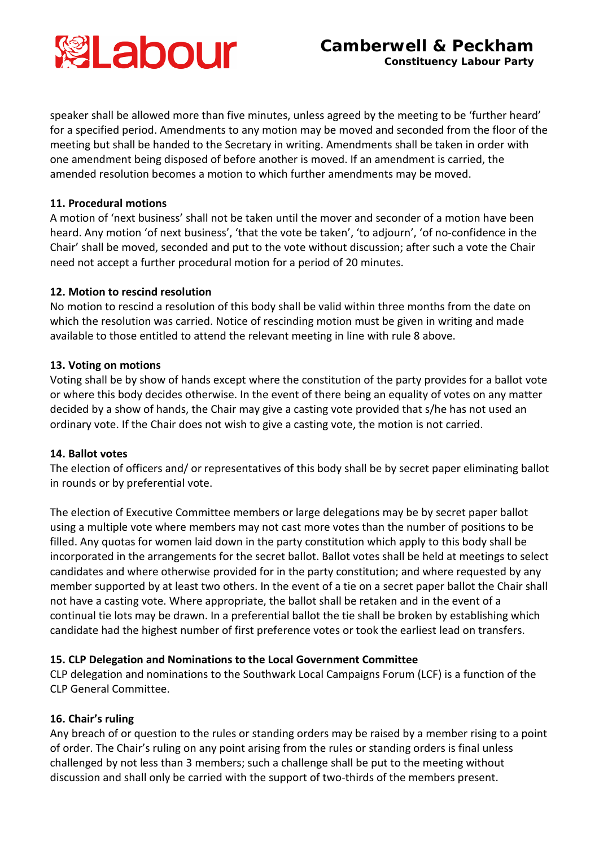

speaker shall be allowed more than five minutes, unless agreed by the meeting to be 'further heard' for a specified period. Amendments to any motion may be moved and seconded from the floor of the meeting but shall be handed to the Secretary in writing. Amendments shall be taken in order with one amendment being disposed of before another is moved. If an amendment is carried, the amended resolution becomes a motion to which further amendments may be moved.

# **11. Procedural motions**

A motion of 'next business' shall not be taken until the mover and seconder of a motion have been heard. Any motion 'of next business', 'that the vote be taken', 'to adjourn', 'of no-confidence in the Chair' shall be moved, seconded and put to the vote without discussion; after such a vote the Chair need not accept a further procedural motion for a period of 20 minutes.

# **12. Motion to rescind resolution**

No motion to rescind a resolution of this body shall be valid within three months from the date on which the resolution was carried. Notice of rescinding motion must be given in writing and made available to those entitled to attend the relevant meeting in line with rule 8 above.

# **13. Voting on motions**

Voting shall be by show of hands except where the constitution of the party provides for a ballot vote or where this body decides otherwise. In the event of there being an equality of votes on any matter decided by a show of hands, the Chair may give a casting vote provided that s/he has not used an ordinary vote. If the Chair does not wish to give a casting vote, the motion is not carried.

# **14. Ballot votes**

The election of officers and/ or representatives of this body shall be by secret paper eliminating ballot in rounds or by preferential vote.

The election of Executive Committee members or large delegations may be by secret paper ballot using a multiple vote where members may not cast more votes than the number of positions to be filled. Any quotas for women laid down in the party constitution which apply to this body shall be incorporated in the arrangements for the secret ballot. Ballot votes shall be held at meetings to select candidates and where otherwise provided for in the party constitution; and where requested by any member supported by at least two others. In the event of a tie on a secret paper ballot the Chair shall not have a casting vote. Where appropriate, the ballot shall be retaken and in the event of a continual tie lots may be drawn. In a preferential ballot the tie shall be broken by establishing which candidate had the highest number of first preference votes or took the earliest lead on transfers.

# **15. CLP Delegation and Nominations to the Local Government Committee**

CLP delegation and nominations to the Southwark Local Campaigns Forum (LCF) is a function of the CLP General Committee.

# **16. Chair's ruling**

Any breach of or question to the rules or standing orders may be raised by a member rising to a point of order. The Chair's ruling on any point arising from the rules or standing orders is final unless challenged by not less than 3 members; such a challenge shall be put to the meeting without discussion and shall only be carried with the support of two-thirds of the members present.